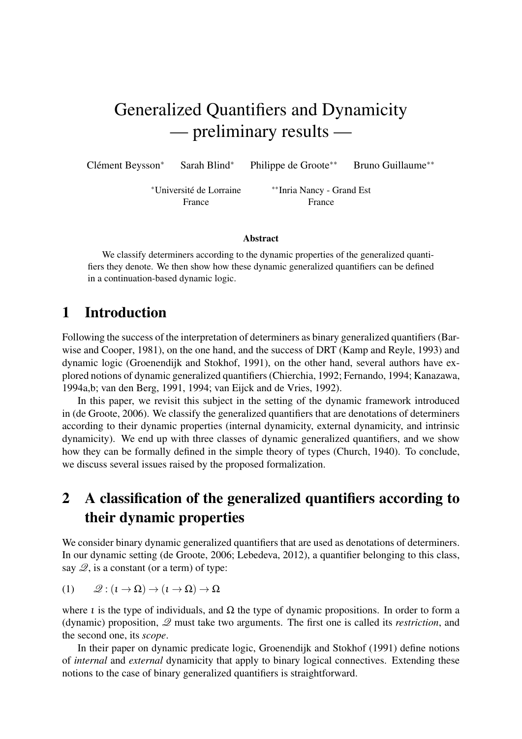# Generalized Quantifiers and Dynamicity — preliminary results —

Clément Beysson\*

<sup>∗</sup> Sarah Blind<sup>∗</sup> Philippe de Groote∗∗ Bruno Guillaume∗∗

<sup>∗</sup>Universite de Lorraine ´

∗∗Inria Nancy - Grand Est France France

#### Abstract

We classify determiners according to the dynamic properties of the generalized quantifiers they denote. We then show how these dynamic generalized quantifiers can be defined in a continuation-based dynamic logic.

# 1 Introduction

Following the success of the interpretation of determiners as binary generalized quantifiers (Barwise and Cooper, 1981), on the one hand, and the success of DRT (Kamp and Reyle, 1993) and dynamic logic (Groenendijk and Stokhof, 1991), on the other hand, several authors have explored notions of dynamic generalized quantifiers (Chierchia, 1992; Fernando, 1994; Kanazawa, 1994a,b; van den Berg, 1991, 1994; van Eijck and de Vries, 1992).

In this paper, we revisit this subject in the setting of the dynamic framework introduced in (de Groote, 2006). We classify the generalized quantifiers that are denotations of determiners according to their dynamic properties (internal dynamicity, external dynamicity, and intrinsic dynamicity). We end up with three classes of dynamic generalized quantifiers, and we show how they can be formally defined in the simple theory of types (Church, 1940). To conclude, we discuss several issues raised by the proposed formalization.

# 2 A classification of the generalized quantifiers according to their dynamic properties

We consider binary dynamic generalized quantifiers that are used as denotations of determiners. In our dynamic setting (de Groote, 2006; Lebedeva, 2012), a quantifier belonging to this class, say  $\mathcal{Q}$ , is a constant (or a term) of type:

$$
(1) \qquad \mathscr{Q}: (\iota \to \Omega) \to (\iota \to \Omega) \to \Omega
$$

where *l* is the type of individuals, and  $\Omega$  the type of dynamic propositions. In order to form a (dynamic) proposition, Q must take two arguments. The first one is called its *restriction*, and the second one, its *scope*.

In their paper on dynamic predicate logic, Groenendijk and Stokhof (1991) define notions of *internal* and *external* dynamicity that apply to binary logical connectives. Extending these notions to the case of binary generalized quantifiers is straightforward.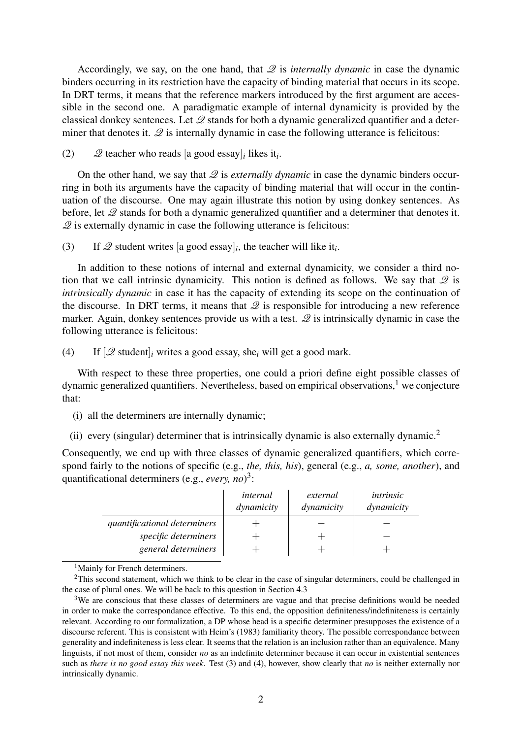Accordingly, we say, on the one hand, that  $\mathscr Q$  is *internally dynamic* in case the dynamic binders occurring in its restriction have the capacity of binding material that occurs in its scope. In DRT terms, it means that the reference markers introduced by the first argument are accessible in the second one. A paradigmatic example of internal dynamicity is provided by the classical donkey sentences. Let  $\mathcal{Q}$  stands for both a dynamic generalized quantifier and a determiner that denotes it.  $\mathscr Q$  is internally dynamic in case the following utterance is felicitous:

(2)  $\mathscr{Q}$  teacher who reads [a good essay]<sub>*i*</sub> likes it<sub>*i*</sub>.

On the other hand, we say that  $\mathcal{Q}$  is *externally dynamic* in case the dynamic binders occurring in both its arguments have the capacity of binding material that will occur in the continuation of the discourse. One may again illustrate this notion by using donkey sentences. As before, let  $\mathcal Q$  stands for both a dynamic generalized quantifier and a determiner that denotes it.  $\mathscr Q$  is externally dynamic in case the following utterance is felicitous:

(3) If  $\mathscr Q$  student writes [a good essay]<sub>*i*</sub>, the teacher will like it<sub>*i*</sub>.

In addition to these notions of internal and external dynamicity, we consider a third notion that we call intrinsic dynamicity. This notion is defined as follows. We say that  $\mathcal{Q}$  is *intrinsically dynamic* in case it has the capacity of extending its scope on the continuation of the discourse. In DRT terms, it means that  $\mathscr Q$  is responsible for introducing a new reference marker. Again, donkey sentences provide us with a test.  $\mathscr Q$  is intrinsically dynamic in case the following utterance is felicitous:

(4) If [Q student]*<sup>i</sup>* writes a good essay, she*<sup>i</sup>* will get a good mark.

With respect to these three properties, one could a priori define eight possible classes of dynamic generalized quantifiers. Nevertheless, based on empirical observations, $<sup>1</sup>$  we conjecture</sup> that:

- (i) all the determiners are internally dynamic;
- (ii) every (singular) determiner that is intrinsically dynamic is also externally dynamic.<sup>2</sup>

Consequently, we end up with three classes of dynamic generalized quantifiers, which correspond fairly to the notions of specific (e.g., *the, this, his*), general (e.g., *a, some, another*), and quantificational determiners (e.g., *every, no*) 3 :

|                              | internal<br>dynamicity | external<br>dynamicity | intrinsic<br>dynamicity |
|------------------------------|------------------------|------------------------|-------------------------|
| quantificational determiners |                        |                        |                         |
| specific determiners         |                        |                        |                         |
| general determiners          |                        |                        |                         |

<sup>1</sup>Mainly for French determiners.

<sup>&</sup>lt;sup>2</sup>This second statement, which we think to be clear in the case of singular determiners, could be challenged in the case of plural ones. We will be back to this question in Section 4.3

<sup>&</sup>lt;sup>3</sup>We are conscious that these classes of determiners are vague and that precise definitions would be needed in order to make the correspondance effective. To this end, the opposition definiteness/indefiniteness is certainly relevant. According to our formalization, a DP whose head is a specific determiner presupposes the existence of a discourse referent. This is consistent with Heim's (1983) familiarity theory. The possible correspondance between generality and indefiniteness is less clear. It seems that the relation is an inclusion rather than an equivalence. Many linguists, if not most of them, consider *no* as an indefinite determiner because it can occur in existential sentences such as *there is no good essay this week*. Test (3) and (4), however, show clearly that *no* is neither externally nor intrinsically dynamic.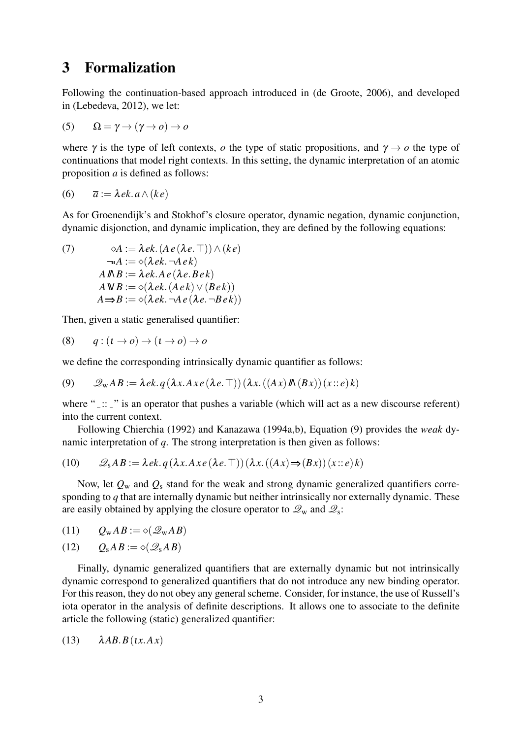## 3 Formalization

Following the continuation-based approach introduced in (de Groote, 2006), and developed in (Lebedeva, 2012), we let:

(5) 
$$
\Omega = \gamma \rightarrow (\gamma \rightarrow o) \rightarrow o
$$

where  $\gamma$  is the type of left contexts, *o* the type of static propositions, and  $\gamma \rightarrow o$  the type of continuations that model right contexts. In this setting, the dynamic interpretation of an atomic proposition *a* is defined as follows:

$$
(6) \qquad \overline{a} := \lambda \, ek. \, a \wedge (ke)
$$

As for Groenendijk's and Stokhof's closure operator, dynamic negation, dynamic conjunction, dynamic disjonction, and dynamic implication, they are defined by the following equations:

(7)  $\& \& A := \lambda e k \cdot (A e (\lambda e. \top)) \wedge (k e)$  $\neg A := \diamond (\lambda e k. \neg A e k)$  $A M B := \lambda e k. A e (\lambda e. B e k)$  $A \mathbb{W} B := \diamond (\lambda e k. (A e k) \vee (B e k))$  $A \Rightarrow B := \diamond (\lambda e k. \neg A e (\lambda e. \neg B e k))$ 

Then, given a static generalised quantifier:

$$
(8) \qquad q:(\iota \to o) \to (\iota \to o) \to o
$$

we define the corresponding intrinsically dynamic quantifier as follows:

(9) 
$$
\mathscr{Q}_{w}AB := \lambda ek. q(\lambda x. Ax e(\lambda e. \top))(\lambda x. ((Ax) \Lambda (Bx))(x::e) k)
$$

where " $\ldots$ " is an operator that pushes a variable (which will act as a new discourse referent) into the current context.

Following Chierchia (1992) and Kanazawa (1994a,b), Equation (9) provides the *weak* dynamic interpretation of *q*. The strong interpretation is then given as follows:

(10) 
$$
\mathscr{Q}_s AB := \lambda ek. q(\lambda x. Ax e(\lambda e. \top)) (\lambda x. ((Ax) \Rightarrow (Bx)) (x :: e) k)
$$

Now, let *Q*<sup>w</sup> and *Q*<sup>s</sup> stand for the weak and strong dynamic generalized quantifiers corresponding to *q* that are internally dynamic but neither intrinsically nor externally dynamic. These are easily obtained by applying the closure operator to  $\mathcal{Q}_w$  and  $\mathcal{Q}_s$ :

$$
(11) \qquad Q_{\rm w}AB:=\diamond(\mathscr{Q}_{\rm w}AB)
$$

 $(12)$   $Q_{\rm s}AB := \diamond(\mathcal{Q}_{\rm s}AB)$ 

Finally, dynamic generalized quantifiers that are externally dynamic but not intrinsically dynamic correspond to generalized quantifiers that do not introduce any new binding operator. For this reason, they do not obey any general scheme. Consider, for instance, the use of Russell's iota operator in the analysis of definite descriptions. It allows one to associate to the definite article the following (static) generalized quantifier:

$$
(13) \qquad \lambda AB.B(tx.Ax)
$$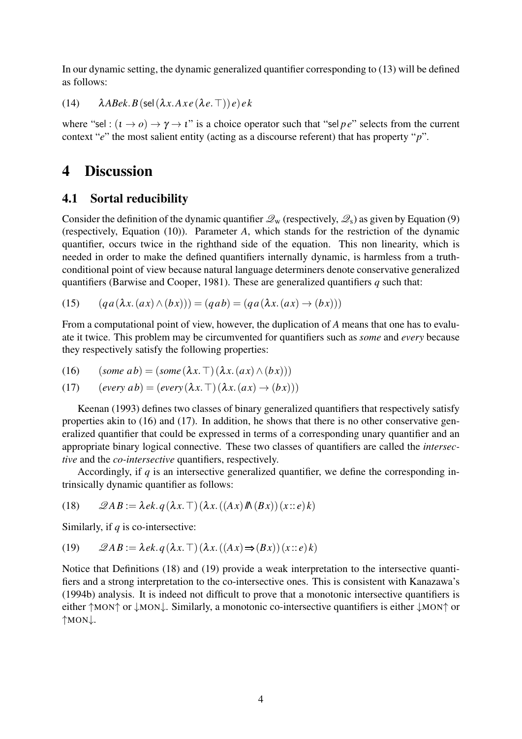In our dynamic setting, the dynamic generalized quantifier corresponding to (13) will be defined as follows:

(14)  $\lambda$ *ABek.B*(sel( $\lambda$ *x.Axe*( $\lambda$ *e.* $\top$ ))*e*)*ek* 

where "sel :  $(i \rightarrow o) \rightarrow \gamma \rightarrow i$ " is a choice operator such that "sel *p e*" selects from the current context "*e*" the most salient entity (acting as a discourse referent) that has property "*p*".

# 4 Discussion

#### 4.1 Sortal reducibility

Consider the definition of the dynamic quantifier  $\mathcal{Q}_w$  (respectively,  $\mathcal{Q}_s$ ) as given by Equation (9) (respectively, Equation (10)). Parameter *A*, which stands for the restriction of the dynamic quantifier, occurs twice in the righthand side of the equation. This non linearity, which is needed in order to make the defined quantifiers internally dynamic, is harmless from a truthconditional point of view because natural language determiners denote conservative generalized quantifiers (Barwise and Cooper, 1981). These are generalized quantifiers *q* such that:

(15) 
$$
(qa(\lambda x.(ax) \land (bx))) = (qab) = (qa(\lambda x.(ax) \rightarrow (bx)))
$$

From a computational point of view, however, the duplication of *A* means that one has to evaluate it twice. This problem may be circumvented for quantifiers such as *some* and *every* because they respectively satisfy the following properties:

(16) 
$$
(some\ ab) = (some(\lambda x. \top)(\lambda x.(ax) \land (bx)))
$$

(17) 
$$
(every\ ab) = (every(\lambda x. \top)(\lambda x.(ax) \rightarrow (bx)))
$$

Keenan (1993) defines two classes of binary generalized quantifiers that respectively satisfy properties akin to (16) and (17). In addition, he shows that there is no other conservative generalized quantifier that could be expressed in terms of a corresponding unary quantifier and an appropriate binary logical connective. These two classes of quantifiers are called the *intersective* and the *co-intersective* quantifiers, respectively.

Accordingly, if *q* is an intersective generalized quantifier, we define the corresponding intrinsically dynamic quantifier as follows:

(18) 
$$
\mathscr{Q}AB := \lambda ek. q(\lambda x. \top) (\lambda x. ((Ax) \Lambda (Bx))(x::e) k)
$$

Similarly, if *q* is co-intersective:

(19) 
$$
\mathscr{Q}AB := \lambda ek. q(\lambda x. \top)(\lambda x. ((Ax) \Rightarrow (Bx))(x::e)k)
$$

Notice that Definitions (18) and (19) provide a weak interpretation to the intersective quantifiers and a strong interpretation to the co-intersective ones. This is consistent with Kanazawa's (1994b) analysis. It is indeed not difficult to prove that a monotonic intersective quantifiers is either ↑MON↑ or ↓MON↓. Similarly, a monotonic co-intersective quantifiers is either ↓MON↑ or ↑MON↓.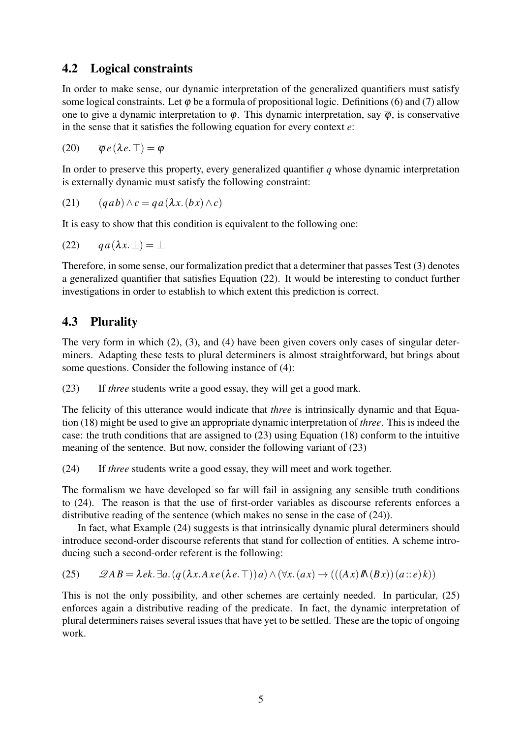#### 4.2 Logical constraints

In order to make sense, our dynamic interpretation of the generalized quantifiers must satisfy some logical constraints. Let  $\varphi$  be a formula of propositional logic. Definitions (6) and (7) allow one to give a dynamic interpretation to  $\varphi$ . This dynamic interpretation, say  $\overline{\varphi}$ , is conservative in the sense that it satisfies the following equation for every context *e*:

(20)  $\overline{\Phi}e(\lambda e.\top) = \Phi$ 

In order to preserve this property, every generalized quantifier *q* whose dynamic interpretation is externally dynamic must satisfy the following constraint:

$$
(21) \qquad (qab)\wedge c = qa(\lambda x. (bx)\wedge c)
$$

It is easy to show that this condition is equivalent to the following one:

$$
(22) \qquad qa(\lambda x.\perp) = \perp
$$

Therefore, in some sense, our formalization predict that a determiner that passes Test (3) denotes a generalized quantifier that satisfies Equation (22). It would be interesting to conduct further investigations in order to establish to which extent this prediction is correct.

#### 4.3 Plurality

The very form in which (2), (3), and (4) have been given covers only cases of singular determiners. Adapting these tests to plural determiners is almost straightforward, but brings about some questions. Consider the following instance of (4):

(23) If *three* students write a good essay, they will get a good mark.

The felicity of this utterance would indicate that *three* is intrinsically dynamic and that Equation (18) might be used to give an appropriate dynamic interpretation of *three*. This is indeed the case: the truth conditions that are assigned to (23) using Equation (18) conform to the intuitive meaning of the sentence. But now, consider the following variant of (23)

(24) If *three* students write a good essay, they will meet and work together.

The formalism we have developed so far will fail in assigning any sensible truth conditions to (24). The reason is that the use of first-order variables as discourse referents enforces a distributive reading of the sentence (which makes no sense in the case of (24)).

In fact, what Example (24) suggests is that intrinsically dynamic plural determiners should introduce second-order discourse referents that stand for collection of entities. A scheme introducing such a second-order referent is the following:

(25) 
$$
\mathscr{Q}AB = \lambda ek \cdot \exists a. (q(\lambda x. Ax e(\lambda e. \top)) a) \land (\forall x. (ax) \rightarrow (((Ax) \land (Bx)) (a::e) k))
$$

This is not the only possibility, and other schemes are certainly needed. In particular, (25) enforces again a distributive reading of the predicate. In fact, the dynamic interpretation of plural determiners raises several issues that have yet to be settled. These are the topic of ongoing work.